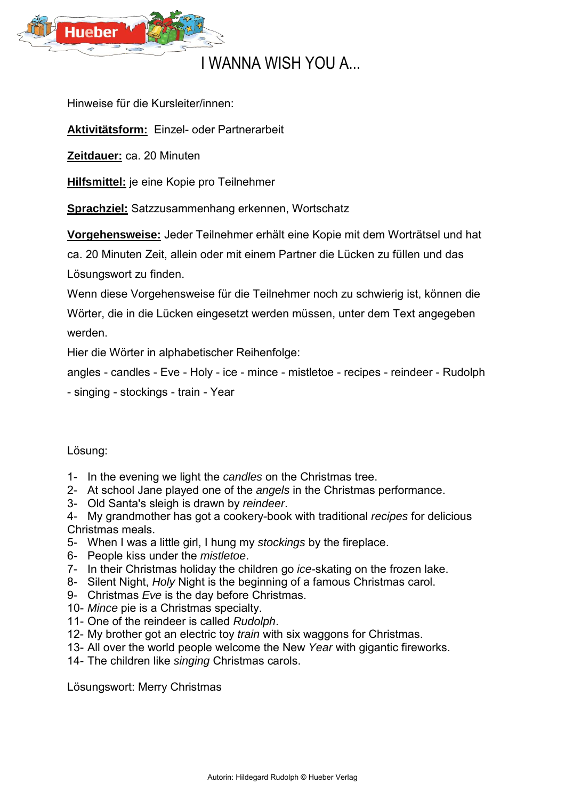

## I WANNA WISH YOU A...

Hinweise für die Kursleiter/innen:

**Aktivitätsform:** Einzel- oder Partnerarbeit

**Zeitdauer:** ca. 20 Minuten

**Hilfsmittel:** je eine Kopie pro Teilnehmer

**Sprachziel:** Satzzusammenhang erkennen, Wortschatz

**Vorgehensweise:** Jeder Teilnehmer erhält eine Kopie mit dem Worträtsel und hat

ca. 20 Minuten Zeit, allein oder mit einem Partner die Lücken zu füllen und das Lösungswort zu finden.

Wenn diese Vorgehensweise für die Teilnehmer noch zu schwierig ist, können die Wörter, die in die Lücken eingesetzt werden müssen, unter dem Text angegeben werden.

Hier die Wörter in alphabetischer Reihenfolge:

angles - candles - Eve - Holy - ice - mince - mistletoe - recipes - reindeer - Rudolph

- singing - stockings - train - Year

Lösung:

- 1- In the evening we light the *candles* on the Christmas tree.
- 2- At school Jane played one of the *angels* in the Christmas performance.
- 3- Old Santa's sleigh is drawn by *reindeer*.
- 4- My grandmother has got a cookery-book with traditional *recipes* for delicious Christmas meals.
- 5- When I was a little girl, I hung my *stockings* by the fireplace.
- 6- People kiss under the *mistletoe*.
- 7- In their Christmas holiday the children go *ice*-skating on the frozen lake.
- 8- Silent Night, *Holy* Night is the beginning of a famous Christmas carol.
- 9- Christmas *Eve* is the day before Christmas.
- 10- *Mince* pie is a Christmas specialty.
- 11- One of the reindeer is called *Rudolph*.
- 12- My brother got an electric toy *train* with six waggons for Christmas.
- 13- All over the world people welcome the New *Year* with gigantic fireworks.
- 14- The children like *singing* Christmas carols.

Lösungswort: Merry Christmas